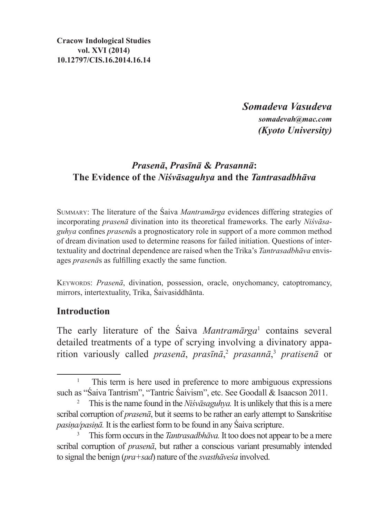**Cracow Indological Studies vol. XVI (2014) 10.12797/CIS.16.2014.16.14**

> *Somadeva Vasudeva somadevah@mac.com (Kyoto University)*

# *Prasenā***,** *Prasīnā* **&** *Prasannā***: The Evidence of the** *Niśvāsaguhya* **and the** *Tantrasadbhāva*

Summary: The literature of the Śaiva *Mantramārga* evidences differing strategies of incorporating *prasenā* divination into its theoretical frameworks. The early *Niśvāsaguhya* confines *prasenā*s a prognosticatory role in support of a more common method of dream divination used to determine reasons for failed initiation. Questions of intertextuality and doctrinal dependence are raised when the Trika's *Tantrasadbhāva* envisages *prasenā*s as fulfilling exactly the same function.

Keywords: *Prasenā*, divination, possession, oracle, onychomancy, catoptromancy, mirrors, intertextuality, Trika, Śaivasiddhānta.

## **Introduction**

The early literature of the Śaiva *Mantramārga*<sup>1</sup> contains several detailed treatments of a type of scrying involving a divinatory apparition variously called *prasenā*, *prasīnā*, <sup>2</sup> *prasannā*, <sup>3</sup> *pratisenā* or

<sup>1</sup> This term is here used in preference to more ambiguous expressions such as "Śaiva Tantrism", "Tantric Śaivism", etc. See Goodall & Isaacson 2011.

<sup>&</sup>lt;sup>2</sup> This is the name found in the *Nisvāsaguhya*. It is unlikely that this is a mere scribal corruption of *prasenā*, but it seems to be rather an early attempt to Sanskritise *pasiṇa/pasiṇā.* It isthe earliest form to be found in any Śaiva scripture.

<sup>3</sup> This form occurs in the *Tantrasadbhāva.* It too does not appear to be a mere scribal corruption of *prasenā*, but rather a conscious variant presumably intended to signal the benign (*pra+sad*) nature of the *svasthāveśa* involved.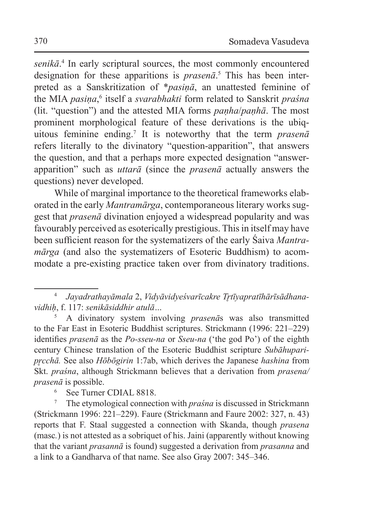*senikā*. 4 In early scriptural sources, the most commonly encountered designation for these apparitions is *prasenā*. 5 This has been interpreted as a Sanskritization of \**pasiṇā*, an unattested feminine of the MIA *pasiṇa*,<sup>6</sup> itself a *svarabhakti* form related to Sanskrit *praśna* (lit. "question") and the attested MIA forms *paṇha*/*paṇhā*. The most prominent morphological feature of these derivations is the ubiquitous feminine ending.<sup>7</sup> It is noteworthy that the term *prasenā* refers literally to the divinatory "question-apparition", that answers the question, and that a perhaps more expected designation "answerapparition" such as *uttarā* (since the *prasenā* actually answers the questions) never developed.

While of marginal importance to the theoretical frameworks elaborated in the early *Mantramārga*, contemporaneous literary works suggest that *prasenā* divination enjoyed a widespread popularity and was favourably perceived as esoterically prestigious. This in itself may have been sufficient reason for the systematizers of the early Śaiva *Mantramārga* (and also the systematizers of Esoteric Buddhism) to acommodate a pre-existing practice taken over from divinatory traditions.

<sup>4</sup> *Jayadrathayāmala* 2, *Vidyāvidyeśvarīcakre Tr̥tīyapratīhārīsādhanavidhiḥ*, f. 117: *senikāsiddhir atulā…*

<sup>5</sup> A divinatory system involving *prasenā*s was also transmitted to the Far East in Esoteric Buddhist scriptures. Strickmann (1996: 221–229) identifies *prasenā* as the *Po-sseu-na* or *Sseu-na* ('the god Po') of the eighth century Chinese translation of the Esoteric Buddhist scripture *Subāhuparipr̥cchā.* See also *Hōbōgirin* 1:7ab, which derives the Japanese *hashina* from Skt. *praśna*, although Strickmann believes that a derivation from *prasena/ prasenā* is possible.

See Turner CDIAL 8818.

<sup>7</sup> The etymological connection with *praśna* is discussed in Strickmann (Strickmann 1996: 221–229). Faure (Strickmann and Faure 2002: 327, n. 43) reports that F. Staal suggested a connection with Skanda, though *prasena*  (masc*.*) is not attested as a sobriquet of his. Jaini (apparently without knowing that the variant *prasannā* is found) suggested a derivation from *prasanna* and a link to a Gandharva of that name. See also Gray 2007: 345–346.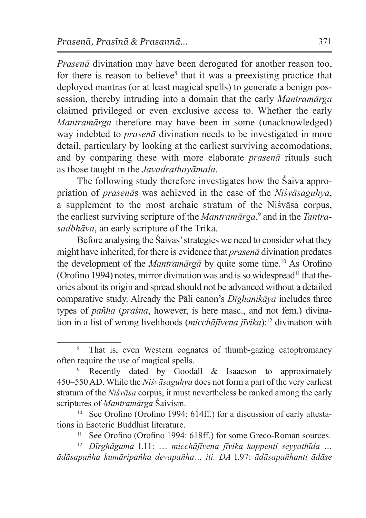*Prasenā* divination may have been derogated for another reason too, for there is reason to believe<sup>8</sup> that it was a preexisting practice that deployed mantras (or at least magical spells) to generate a benign possession, thereby intruding into a domain that the early *Mantramārga* claimed privileged or even exclusive access to. Whether the early *Mantramārga* therefore may have been in some (unacknowledged) way indebted to *prasenā* divination needs to be investigated in more detail, particulary by looking at the earliest surviving accomodations, and by comparing these with more elaborate *prasenā* rituals such as those taught in the *Jayadrathayāmala*.

The following study therefore investigates how the Śaiva appropriation of *prasenā*s was achieved in the case of the *Niśvāsaguhya*, a supplement to the most archaic stratum of the Niśvāsa corpus, the earliest surviving scripture of the *Mantramārga*, 9 and in the *Tantrasadbhāva*, an early scripture of the Trika.

Before analysing the Śaivas' strategies we need to consider what they might have inherited, for there is evidence that *prasenā* divination predates the development of the *Mantramārgā* by quite some time.<sup>10</sup> As Orofino (Orofino 1994) notes, mirror divination was and is so widespread<sup>11</sup> that theories about its origin and spread should not be advanced without a detailed comparative study. Already the Pāli canon's *Dīghanikāya* includes three types of *pañha* (*praśna*, however, is here masc., and not fem.) divination in a list of wrong livelihoods (*micchājīvena jīvika*):12 divination with

<sup>&</sup>lt;sup>8</sup> That is, even Western cognates of thumb-gazing catoptromancy often require the use of magical spells.

Recently dated by Goodall & Isaacson to approximately 450–550 AD. While the *Niśvāsaguhya* does not form a part of the very earliest stratum of the *Niśvāsa* corpus, it must nevertheless be ranked among the early scriptures of *Mantramārga* Śaivism.

<sup>&</sup>lt;sup>10</sup> See Orofino (Orofino 1994: 614ff.) for a discussion of early attestations in Esoteric Buddhist literature.

<sup>&</sup>lt;sup>11</sup> See Orofino (Orofino 1994: 618ff.) for some Greco-Roman sources.

<sup>12</sup> *Dīrghāgama* I.11: … *micchājīvena jīvika kappenti seyyathīda … ādāsapañha kumāripañha devapañha… iti. DA* I.97: *ādāsapañhanti ādāse*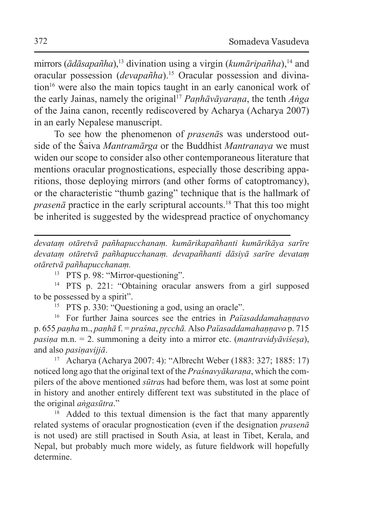mirrors ( $\bar{a}d\bar{a}s$ *apañha*),<sup>13</sup> divination using a virgin (*kumāripañha*),<sup>14</sup> and oracular possession (*devapañha*).15 Oracular possession and divination<sup>16</sup> were also the main topics taught in an early canonical work of the early Jainas, namely the original17 *Paṇhāvāyaraṇa*, the tenth *Aṅga* of the Jaina canon, recently rediscovered by Acharya (Acharya 2007) in an early Nepalese manuscript.

To see how the phenomenon of *prasenā*s was understood outside of the Śaiva *Mantramārga* or the Buddhist *Mantranaya* we must widen our scope to consider also other contemporaneous literature that mentions oracular prognostications, especially those describing apparitions, those deploying mirrors (and other forms of catoptromancy), or the characteristic "thumb gazing" technique that is the hallmark of *prasenā* practice in the early scriptural accounts.18 That this too might be inherited is suggested by the widespread practice of onychomancy

*devataṃ otāretvā pañhapucchanaṃ. kumārikapañhanti kumārikāya sarīre devataṃ otāretvā pañhapucchanaṃ. devapañhanti dāsiyā sarīre devataṃ otāretvā pañhapucchanaṃ.* 

<sup>13</sup> PTS p. 98: "Mirror-questioning".

<sup>14</sup> PTS p. 221: "Obtaining oracular answers from a girl supposed to be possessed by a spirit".

<sup>15</sup> PTS p. 330: "Questioning a god, using an oracle".

<sup>16</sup> For further Jaina sources see the entries in *Païasaddamahaṇṇavo* p. 655 *paṇha* m., *paṇhā* f. = *praśna*, *pr̥cchā.* Also *Païasaddamahaṇṇavo* p. 715 *pasiṇa* m.n. = 2. summoning a deity into a mirror etc. (*mantravidyāviśeṣa*), and also *pasiṇavijjā*. 17 Acharya (Acharya 2007: 4): "Albrecht Weber (1883: 327; 1885: 17)

noticed long ago that the original text of the *Praśnavyākaraṇa*, which the compilers of the above mentioned *sūtra*s had before them, was lost at some point in history and another entirely different text was substituted in the place of the original *aṅgasūtra*."

<sup>18</sup> Added to this textual dimension is the fact that many apparently related systems of oracular prognostication (even if the designation *prasenā* is not used) are still practised in South Asia, at least in Tibet, Kerala, and Nepal, but probably much more widely, as future fieldwork will hopefully determine.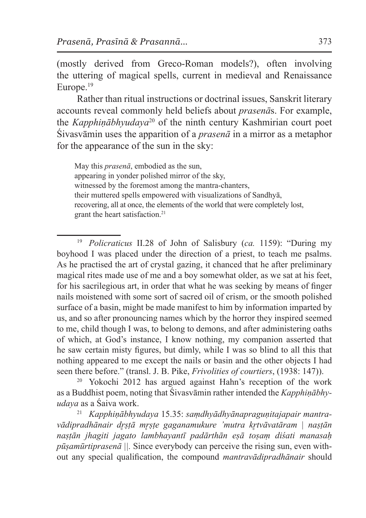(mostly derived from Greco-Roman models?), often involving the uttering of magical spells, current in medieval and Renaissance Europe.19

Rather than ritual instructions or doctrinal issues, Sanskrit literary accounts reveal commonly held beliefs about *prasenā*s. For example, the *Kapphiṇābhyudaya*20 of the ninth century Kashmirian court poet Śivasvāmin uses the apparition of a *prasenā* in a mirror as a metaphor for the appearance of the sun in the sky:

May this *prasenā*, embodied as the sun, appearing in yonder polished mirror of the sky, witnessed by the foremost among the mantra-chanters, their muttered spells empowered with visualizations of Sandhyā, recovering, all at once, the elements of the world that were completely lost, grant the heart satisfaction.<sup>21</sup>

<sup>19</sup> *Policraticus* II.28 of John of Salisbury (*ca.* 1159): "During my boyhood I was placed under the direction of a priest, to teach me psalms. As he practised the art of crystal gazing, it chanced that he after preliminary magical rites made use of me and a boy somewhat older, as we sat at his feet, for his sacrilegious art, in order that what he was seeking by means of finger nails moistened with some sort of sacred oil of crism, or the smooth polished surface of a basin, might be made manifest to him by information imparted by us, and so after pronouncing names which by the horror they inspired seemed to me, child though I was, to belong to demons, and after administering oaths of which, at God's instance, I know nothing, my companion asserted that he saw certain misty figures, but dimly, while I was so blind to all this that nothing appeared to me except the nails or basin and the other objects I had seen there before." (transl. J. B. Pike, *Frivolities of courtiers*, (1938: 147)).

<sup>20</sup> Yokochi 2012 has argued against Hahn's reception of the work as a Buddhist poem, noting that Śivasvāmin rather intended the *Kapphiṇābhyudaya* as a Śaiva work.

<sup>21</sup> *Kapphiṇābhyudaya* 15.35: *saṃdhyādhyānapraguṇitajapair mantravādipradhānair dr̥ṣṭā mr̥ṣṭe gaganamukure 'mutra kr̥tvāvatāram | naṣṭān naṣṭān jhagiti jagato lambhayantī padārthān eṣā toṣaṃ diśati manasaḥ pūṣamūrtiprasenā ||.* Since everybody can perceive the rising sun, even without any special qualification, the compound *mantravādipradhānair* should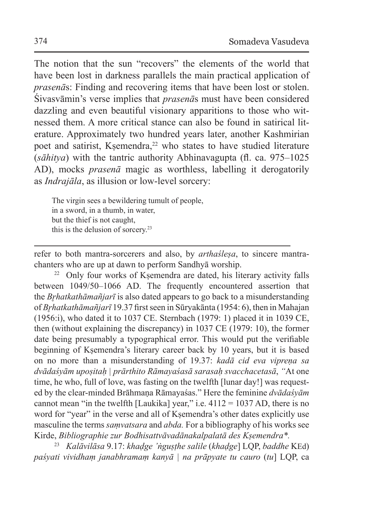The notion that the sun "recovers" the elements of the world that have been lost in darkness parallels the main practical application of *prasenā*s: Finding and recovering items that have been lost or stolen. Śivasvāmin's verse implies that *prasenā*s must have been considered dazzling and even beautiful visionary apparitions to those who witnessed them. A more critical stance can also be found in satirical literature. Approximately two hundred years later, another Kashmirian poet and satirist, Kṣemendra,<sup>22</sup> who states to have studied literature (*sāhitya*) with the tantric authority Abhinavagupta (fl. ca. 975–1025 AD), mocks *prasenā* magic as worthless, labelling it derogatorily as *Indrajāla*, as illusion or low-level sorcery:

The virgin sees a bewildering tumult of people, in a sword, in a thumb, in water, but the thief is not caught, this is the delusion of sorcery.23

refer to both mantra-sorcerers and also, by *arthaśleṣa*, to sincere mantrachanters who are up at dawn to perform Sandhyā worship.

<sup>22</sup> Only four works of Ksemendra are dated, his literary activity falls between 1049/50–1066 AD. The frequently encountered assertion that the *Br̥hatkathāmañjarī* is also dated appears to go back to a misunderstanding of *Br̥hatkathāmañjarī* 19.37 first seen in Sūryakānta (1954: 6), then in Mahajan (1956:i), who dated it to 1037 CE. Sternbach (1979: 1) placed it in 1039 CE, then (without explaining the discrepancy) in 1037 CE (1979: 10), the former date being presumably a typographical error. This would put the verifiable beginning of Kṣemendra's literary career back by 10 years, but it is based on no more than a misunderstanding of 19.37: *kadā cid eva vipreṇa sa dvādaśyām upoṣitaḥ | prārthito Rāmayaśasā sarasaḥ svacchacetasā*, *"*At one time, he who, full of love, was fasting on the twelfth [lunar day!] was requested by the clear-minded Brāhmaṇa Rāmayaśas." Here the feminine *dvādaśyām* cannot mean "in the twelfth [Laukika] year," i.e.  $4112 = 1037$  AD, there is no word for "year" in the verse and all of Ksemendra's other dates explicitly use masculine the terms *saṃvatsara* and *abda.* For a bibliography of his works see Kirde, *Bibliographie zur Bodhisattvāvadānakalpalatā des Kṣemendra\*.*

<sup>23</sup> *Kalāvilāsa* 9.17: *khaḍge 'ṅguṣṭhe salile* (*khaḍge*] LQP, *baddhe* KEd) *paśyati vividhaṃ janabhramaṃ kanyā | na prāpyate tu cauro* (*tu*] LQP, ca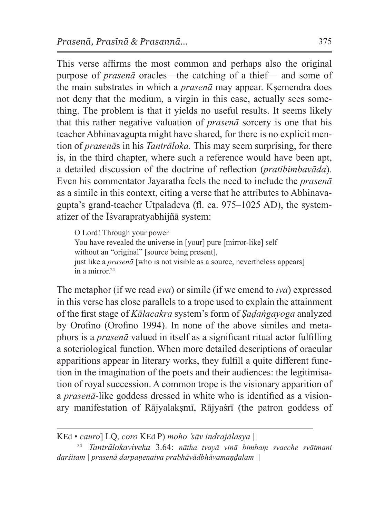This verse affirms the most common and perhaps also the original purpose of *prasenā* oracles—the catching of a thief— and some of the main substrates in which a *prasenā* may appear. Kṣemendra does not deny that the medium, a virgin in this case, actually sees something. The problem is that it yields no useful results. It seems likely that this rather negative valuation of *prasenā* sorcery is one that his teacher Abhinavagupta might have shared, for there is no explicit mention of *prasenā*s in his *Tantrāloka.* This may seem surprising, for there is, in the third chapter, where such a reference would have been apt, a detailed discussion of the doctrine of reflection (*pratibimbavāda*). Even his commentator Jayaratha feels the need to include the *prasenā* as a simile in this context, citing a verse that he attributes to Abhinavagupta's grand-teacher Utpaladeva (fl. ca. 975–1025 AD), the systematizer of the Īśvarapratyabhijñā system:

O Lord! Through your power You have revealed the universe in [your] pure [mirror-like] self without an "original" [source being present], just like a *prasenā* [who is not visible as a source, nevertheless appears]  $\int$ in a mirror<sup>24</sup>

The metaphor (if we read *eva*) or simile (if we emend to *iva*) expressed in this verse has close parallels to a trope used to explain the attainment of the first stage of *Kālacakra* system's form of *Ṣaḍaṅgayoga* analyzed by Orofino (Orofino 1994). In none of the above similes and metaphors is a *prasenā* valued in itself as a significant ritual actor fulfilling a soteriological function. When more detailed descriptions of oracular apparitions appear in literary works, they fulfill a quite different function in the imagination of the poets and their audiences: the legitimisation of royal succession. A common trope is the visionary apparition of a *prasenā*-like goddess dressed in white who is identified as a visionary manifestation of Rājyalakṣmī, Rājyaśrī (the patron goddess of

KEd • *cauro*] LQ, *coro* KEd P) *moho 'sāv indrajālasya ||*

<sup>24</sup> *Tantrālokaviveka* 3.64: *nātha tvayā vinā bimbaṃ svacche svātmani darśitam | prasenā darpaṇenaiva prabhāvādbhāvamaṇḍalam ||*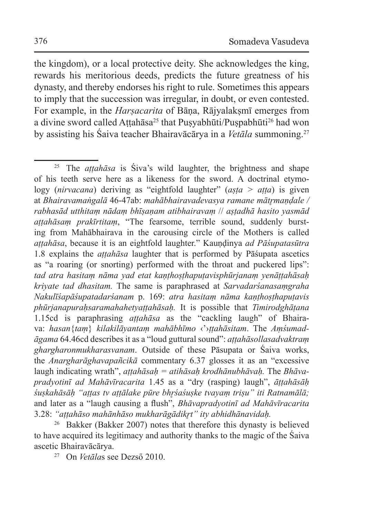the kingdom), or a local protective deity. She acknowledges the king, rewards his meritorious deeds, predicts the future greatness of his dynasty, and thereby endorses his right to rule. Sometimes this appears to imply that the succession was irregular, in doubt, or even contested. For example, in the *Harsacarita* of Bāna, Rājyalakṣmī emerges from a divine sword called Attahāsa<sup>25</sup> that Pusyabhūti/Puspabhūti<sup>26</sup> had won by assisting his Śaiva teacher Bhairavācārya in a *Vetāla* summoning.27

<sup>26</sup> Bakker (Bakker 2007) notes that therefore this dynasty is believed to have acquired its legitimacy and authority thanks to the magic of the Śaiva ascetic Bhairavācārya.

<sup>27</sup> On *Vetāla*s see Dezső 2010.

<sup>25</sup> The *aṭṭahāsa* is Śiva's wild laughter, the brightness and shape of his teeth serve here as a likeness for the sword. A doctrinal etymology (*nirvacana*) deriving as "eightfold laughter" (*aṣṭa > aṭṭa*) is given at *Bhairavamaṅgalā* 46-47ab: *mahābhairavadevasya ramane mātrmandale* / *rabhasād utthitaṃ nādaṃ bhīṣaṇam atibhairavaṃ* // *aṣṭadhā hasito yasmād aṭṭahāsaṃ prakīrtitaṃ*, "The fearsome, terrible sound, suddenly bursting from Mahābhairava in the carousing circle of the Mothers is called *aṭṭahāsa*, because it is an eightfold laughter." Kauṇḍinya *ad Pāśupatasūtra* 1.8 explains the *aṭṭahāsa* laughter that is performed by Pāśupata ascetics as "a roaring (or snorting) performed with the throat and puckered lips": *tad atra hasitaṃ nāma yad etat kaṇṭhoṣṭhapuṭavisphūrjanaṃ yenāṭṭahāsaḥ kriyate tad dhasitam.* The same is paraphrased at *Sarvadarśanasaṃgraha Nakulīśapāśupatadarśanam* p. 169: *atra hasitaṃ nāma kaṇṭhoṣṭhapuṭavis phūrjanapuraḥsaramahahetyaṭṭahāsaḥ.* It is possible that *Timirodghāṭana*  1.15cd is paraphrasing *aṭṭahāsa* as the "cackling laugh" of Bhairava: *hasan*{*taṃ*} *kilakilāyantaṃ mahābhīmo* ‹'›*ṭṭahāsitam*. The *Aṃśumadāgama* 64.46cd describes it as a "loud guttural sound": *aṭṭahāsollasadvaktraṃ ghargharonmukharasvanam*. Outside of these Pāsupata or Śaiva works, the *Anargharāghavapañcikā* commentary 6.37 glosses it as an "excessive laugh indicating wrath", *aṭṭahāsaḥ = atihāsaḥ krodhānubhāvaḥ.* The *Bhāvapradyotinī ad Mahāvīracarita* 1.45 as a "dry (rasping) laugh", *āṭṭahāsāḥ śuṣkahāsāḥ "aṭṭas tv aṭṭālake pūre bhr̥śaśuṣke tvayaṃ triṣu" iti Ratnamālā;*  and later as a "laugh causing a flush", *Bhāvapradyotinī ad Mahāvīracarita*  3.28: *"aṭṭahāso mahānhāso mukharāgādikr̥t" ity abhidhānavidaḥ.*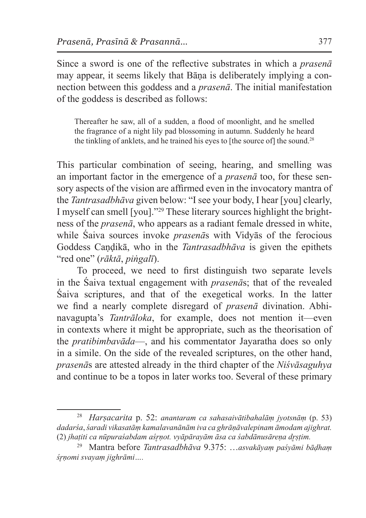Since a sword is one of the reflective substrates in which a *prasenā*  may appear, it seems likely that Bāṇa is deliberately implying a connection between this goddess and a *prasenā*. The initial manifestation of the goddess is described as follows:

Thereafter he saw, all of a sudden, a flood of moonlight, and he smelled the fragrance of a night lily pad blossoming in autumn. Suddenly he heard the tinkling of anklets, and he trained his eyes to [the source of] the sound.<sup>28</sup>

This particular combination of seeing, hearing, and smelling was an important factor in the emergence of a *prasenā* too, for these sensory aspects of the vision are affirmed even in the invocatory mantra of the *Tantrasadbhāva* given below: "I see your body, I hear [you] clearly, I myself can smell [you]."29 These literary sources highlight the brightness of the *prasenā*, who appears as a radiant female dressed in white, while Śaiva sources invoke *prasenā*s with Vidyās of the ferocious Goddess Candikā, who in the *Tantrasadbhāva* is given the epithets "red one" (*rāktā*, *piṅgalī*).

To proceed, we need to first distinguish two separate levels in the Śaiva textual engagement with *prasenā*s; that of the revealed Śaiva scriptures, and that of the exegetical works. In the latter we find a nearly complete disregard of *prasenā* divination. Abhinavagupta's *Tantrāloka*, for example, does not mention it—even in contexts where it might be appropriate, such as the theorisation of the *pratibimbavāda*—, and his commentator Jayaratha does so only in a simile. On the side of the revealed scriptures, on the other hand, *prasenā*s are attested already in the third chapter of the *Niśvāsaguhya*  and continue to be a topos in later works too. Several of these primary

<sup>28</sup> *Harṣacarita* p. 52: *anantaram ca sahasaivātibahalāṃ jyotsnāṃ* (p. 53) *dadarśa*,*śaradi vikasatāṃ kamalavanānām iva ca ghrāṇāvalepinam āmodam ajighrat.*  (2) *jhaṭiti ca nūpuraśabdam aśr̥ṇot. vyāpārayām āsa ca śabdānusāreṇa dr̥ṣṭim.*

<sup>29</sup> Mantra before *Tantrasadbhāva* 9.375: …*asvakāyaṃ paśyāmi bāḍhaṃ śr̥ṇomi svayaṃ jighrāmi….*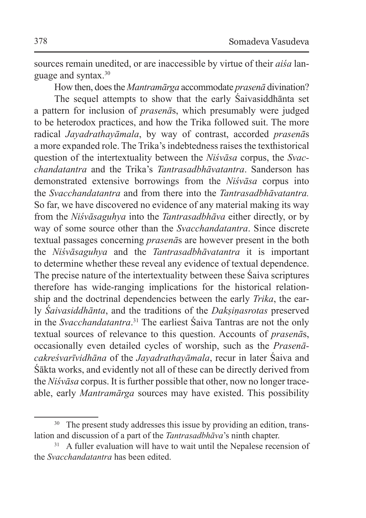sources remain unedited, or are inaccessible by virtue of their *aiśa* language and syntax.30

How then, does the *Mantramārga* accommodate *prasenā* divination?

The sequel attempts to show that the early Śaivasiddhānta set a pattern for inclusion of *prasenā*s, which presumably were judged to be heterodox practices, and how the Trika followed suit. The more radical *Jayadrathayāmala*, by way of contrast, accorded *prasenā*s a more expanded role. The Trika's indebtedness raises the texthistorical question of the intertextuality between the *Niśvāsa* corpus, the *Svacchandatantra* and the Trika's *Tantrasadbhāvatantra*. Sanderson has demonstrated extensive borrowings from the *Niśvāsa* corpus into the *Svacchandatantra* and from there into the *Tantrasadbhāvatantra.* So far, we have discovered no evidence of any material making its way from the *Niśvāsaguhya* into the *Tantrasadbhāva* either directly, or by way of some source other than the *Svacchandatantra*. Since discrete textual passages concerning *prasenā*s are however present in the both the *Niśvāsaguhya* and the *Tantrasadbhāvatantra* it is important to determine whether these reveal any evidence of textual dependence. The precise nature of the intertextuality between these Śaiva scriptures therefore has wide-ranging implications for the historical relationship and the doctrinal dependencies between the early *Trika*, the early *Śaivasiddhānta*, and the traditions of the *Dakṣiṇasrotas* preserved in the *Svacchandatantra*. 31 The earliest Śaiva Tantras are not the only textual sources of relevance to this question. Accounts of *prasenā*s, occasionally even detailed cycles of worship, such as the *Prasenācakreśvarīvidhāna* of the *Jayadrathayāmala*, recur in later Śaiva and Śākta works, and evidently not all of these can be directly derived from the *Nisvāsa* corpus. It is further possible that other, now no longer traceable, early *Mantramārga* sources may have existed. This possibility

<sup>&</sup>lt;sup>30</sup> The present study addresses this issue by providing an edition, translation and discussion of a part of the *Tantrasadbhāva*'s ninth chapter.

<sup>&</sup>lt;sup>31</sup> A fuller evaluation will have to wait until the Nepalese recension of the *Svacchandatantra* has been edited.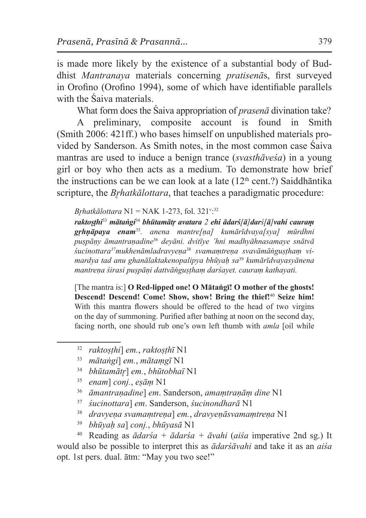is made more likely by the existence of a substantial body of Buddhist *Mantranaya* materials concerning *pratisenā*s, first surveyed in Orofino (Orofino 1994), some of which have identifiable parallels with the Śaiva materials.

What form does the Śaiva appropriation of *prasenā* divination take?

A preliminary, composite account is found in Smith (Smith 2006: 421ff.) who bases himself on unpublished materials provided by Sanderson. As Smith notes, in the most common case Śaiva mantras are used to induce a benign trance (*svasthāveśa*) in a young girl or boy who then acts as a medium. To demonstrate how brief the instructions can be we can look at a late  $(12<sup>th</sup> cent?)$  Saiddhāntika scripture, the *Brhatkālottara*, that teaches a paradigmatic procedure:

*Br̥hatkālottara* N1 = NAK 1-273, fol. 321<sup>v</sup> : 32

raktosthi<sup>33</sup> mātangi<sup>34</sup> bhūtamātr avatara 2 ehi ādars/ā]dars/ā]vahi cauram *gr̥hṇāpaya enam*<sup>35</sup>*. anena mantre[ṇa] kumārīdvaya[sya] mūrdhni puṣpāṇy āmantraṇadine*<sup>36</sup> *deyāni. dvitīye 'hni madhyāhnasamaye snātvā śucinottara37mukhenāmladravyeṇa*38 *svamaṃtreṇa svavāmāṅguṣṭhaṃ vimardya tad anu ghanālaktakenopalipya bhūyaḥ sa*<sup>39</sup> *kumārīdvayasyānena mantreṇa śirasi puṣpāṇi dattvāṅguṣṭhaṃ darśayet. cauraṃ kathayati.*

[The mantra is:] **O Red-lipped one! O Mātaṅgī! O mother of the ghosts! Descend! Descend! Come! Show, show! Bring the thief!**<sup>40</sup> **Seize him!** With this mantra flowers should be offered to the head of two virgins on the day of summoning. Purified after bathing at noon on the second day, facing north, one should rub one's own left thumb with *amla* [oil while

- <sup>32</sup> *raktoṣṭhi*] *em.*, *raktoṣṭhī* N1
- <sup>33</sup> *mātaṅgi*] *em.*, *mātaṃgī* N1
- <sup>34</sup> *bhūtamātr̥*] *em.*, *bhūtobhaï* N1
- <sup>35</sup> *enam*] *conj.*, *eṣāṃ* N1
- <sup>36</sup> *āmantraṇadine*] *em*. Sanderson, *amaṃtraṇāṃ dine* N1
- <sup>37</sup> *śucinottara*] *em*. Sanderson, *śucinondharā* N1
- <sup>38</sup> *dravyeṇa svamaṃtreṇa*] *em.*, *dravyeṇāsvamaṃtreṇa* N1
- <sup>39</sup> *bhūyaḥ sa*] *conj.*, *bhūyasā* N1

<sup>40</sup> Reading as *ādarśa + ādarśa + āvahi* (*aiśa* imperative 2nd sg.) It would also be possible to interpret this as *ādarśāvahi* and take it as an *aiśa*  opt. 1st pers. dual. ātm: "May you two see!"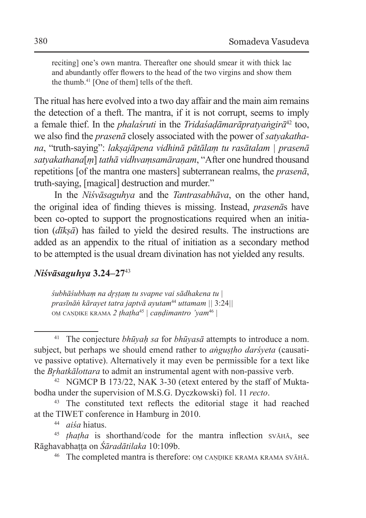reciting] one's own mantra. Thereafter one should smear it with thick lac and abundantly offer flowers to the head of the two virgins and show them the thumb.41 [One of them] tells of the theft.

The ritual has here evolved into a two day affair and the main aim remains the detection of a theft. The mantra, if it is not corrupt, seems to imply a female thief. In the *phalaśruti* in the *Tridaśaḍāmarāpratyaṅgirā*42 too, we also find the *prasenā* closely associated with the power of *satyakathana*, "truth-saying": *lakṣajāpena vidhinā pātālaṃ tu rasātalam | prasenā satyakathana*[*ṃ*] *tathā vidhvaṃsamāraṇam*, "After one hundred thousand repetitions [of the mantra one masters] subterranean realms, the *prasenā*, truth-saying, [magical] destruction and murder."

In the *Niśvāsaguhya* and the *Tantrasabhāva*, on the other hand, the original idea of finding thieves is missing. Instead, *prasenā*s have been co-opted to support the prognostications required when an initiation (*dīkṣā*) has failed to yield the desired results. The instructions are added as an appendix to the ritual of initiation as a secondary method to be attempted is the usual dream divination has not yielded any results.

### *Niśvāsaguhya* **3.24–27**<sup>43</sup>

*śubhāśubhaṃ na dr̥ṣṭaṃ tu svapne vai sādhakena tu | prasīnāṅ kārayet tatra japtvā ayutam*<sup>44</sup> *uttamam ||* 3:24*||* oṃ caṇḍike krama *2 ṭhaṭha*<sup>45</sup> *| caṇḍimantro 'yam*<sup>46</sup> *|*

<sup>44</sup> *aiśa* hiatus.

<sup>41</sup> The conjecture *bhūyaḥ sa* for *bhūyasā* attempts to introduce a nom. subject, but perhaps we should emend rather to *aṅguṣṭho darśyeta* (causative passive optative). Alternatively it may even be permissible for a text like the *Br̥hatkālottara* to admit an instrumental agent with non-passive verb.

<sup>42</sup> NGMCP B 173/22, NAK 3-30 (etext entered by the staff of Muktabodha under the supervision of M.S.G. Dyczkowski) fol. 11 *recto*.

<sup>43</sup> The constituted text reflects the editorial stage it had reached at the TIWET conference in Hamburg in 2010.

<sup>45</sup> *ṭhaṭha* is shorthand/code for the mantra inflection svāhā, see Rāghavabhaṭṭa on *Śāradātilaka* 10:109b.

<sup>&</sup>lt;sup>46</sup> The completed mantra is therefore: OM CANDIKE KRAMA KRAMA SVĀHĀ.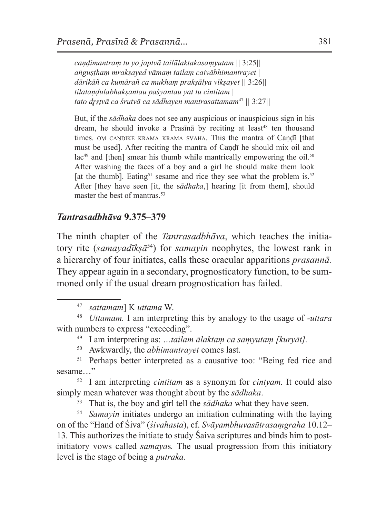*caṇḍimantraṃ tu yo japtvā tailālaktakasaṃyutam ||* 3:25*|| aṅguṣṭhaṃ mrakṣayed vāmaṃ tailaṃ caivābhimantrayet | dārikāñ ca kumārañ ca mukhaṃ prakṣālya vīkṣayet ||* 3:26*|| tilataṇḍulabhakṣantau paśyantau yat tu cintitam | tato dr̥ṣṭvā ca śrutvā ca sādhayen mantrasattamam*<sup>47</sup> *||* 3:27*||*

But, if the *sādhaka* does not see any auspicious or inauspicious sign in his dream, he should invoke a Prasīnā by reciting at least<sup>48</sup> ten thousand times. OM CANDIKE KRAMA KRAMA SVĀHĀ. This the mantra of Candī [that must be used]. After reciting the mantra of Caṇḍī he should mix oil and  $lac^{49}$  and [then] smear his thumb while mantrically empowering the oil.<sup>50</sup> After washing the faces of a boy and a girl he should make them look [at the thumb]. Eating<sup>51</sup> sesame and rice they see what the problem is.<sup>52</sup> After [they have seen [it, the s*ādhaka*,] hearing [it from them], should master the best of mantras.<sup>53</sup>

### *Tantrasadbhāva* **9.375–379**

The ninth chapter of the *Tantrasadbhāva*, which teaches the initiatory rite (*samayadīkṣā*54) for *samayin* neophytes, the lowest rank in a hierarchy of four initiates, calls these oracular apparitions *prasannā.*  They appear again in a secondary, prognosticatory function, to be summoned only if the usual dream prognostication has failed.

- <sup>49</sup> I am interpreting as: *…tailam ālaktaṃ ca saṃyutaṃ [kuryāt].*
- <sup>50</sup> Awkwardly, the *abhimantrayet* comes last.

<sup>52</sup> I am interpreting *cintitam* as a synonym for *cintyam.* It could also simply mean whatever was thought about by the *sādhaka*.

<sup>53</sup> That is, the boy and girl tell the *sādhaka* what they have seen.

<sup>54</sup> *Samayin* initiates undergo an initiation culminating with the laying on of the "Hand of Śiva" (*śivahasta*), cf. *Svāyambhuvasūtrasaṃgraha* 10.12– 13. This authorizes the initiate to study Śaiva scriptures and binds him to postinitiatory vows called *samaya*s*.* The usual progression from this initiatory level is the stage of being a *putraka.*

<sup>47</sup> *sattamam*] K *uttama* W.

<sup>48</sup> *Uttamam.* I am interpreting this by analogy to the usage of *-uttara* with numbers to express "exceeding".

<sup>&</sup>lt;sup>51</sup> Perhaps better interpreted as a causative too: "Being fed rice and sesame "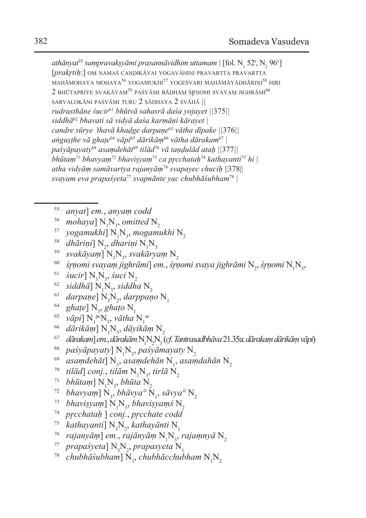athānyat<sup>ss</sup> saṃpravakṣyāmi prasannāvidhim uttamam | [fol. N<sub>1</sub> 52<sup>r</sup>, N<sub>2</sub> 96<sup>v</sup>] [*prakr̥tiḥ*:] oṃ namaś caṇḍikāyai yogavāhini pravartta pravartta  $MAH\bar{A}MOHAYA MOHAYA^{56} YOGAMUKHI^{57} YOGEŚVARI MAH\bar{A}M\bar{A}Y\bar{A}DH\bar{A}RINI^{58} HIRI$  $2$  bhūtapriye svakāyam<sup>59</sup> paśyāmi bādham śrņomi svayam jighrāmi<sup>60</sup> sarvalokāni paśyāmi turu 2 sādhaya 2 svāh<sup>ā</sup> *|| rudrasthāne śucir*<sup>61</sup> *bhūtvā sahasrā daśa yojayet ||*375*|| siddhā*<sup>62</sup> *bhavati sā vidyā daśa karmāṇi kārayet | candre sūrye 'thavā khaḍge darpaṇe*<sup>63</sup> *vātha dīpake ||*376*|| aṅguṣṭhe vā ghaṭe*<sup>64</sup> *vāpi*<sup>65</sup> *dārikāṃ*<sup>66</sup> *vātha dārakam*<sup>67</sup> *| paśyāpayaty*<sup>68</sup> *asaṃdehāt* <sup>69</sup> *tilād*<sup>70</sup> *vā taṇḍulād ataḥ ||*377*|| bhūtaṃ*<sup>71</sup> *bhavyaṃ*<sup>72</sup> *bhaviṣyaṃ*<sup>73</sup> *ca pr̥cchataḥ*<sup>74</sup> *kathayanti*<sup>75</sup> *hi | atha vidyāṃ samāvartya rajanyāṃ*<sup>76</sup> *svapayec chuciḥ* ||378|| *svayam eva prapaśyeta*<sup>77</sup> *svapnānte yac chubhāśubham*<sup>78</sup> *|* 

- <sup>55</sup> *anyat*] *em.*, *anyaṃ codd*
- $\frac{56}{10}$  *mohaya*]  $N_1N_3$
- <sup>56</sup> mohaya] N<sub>1</sub>N<sub>3</sub>, omitted N<sub>2</sub><br><sup>57</sup> yogamukhi] N<sub>1</sub>N<sub>3</sub>, mogamukhi N<sub>2</sub><br>88 dhāriṇi] N<sub>2</sub>, dhariṇi N<sub>1</sub>N<sub>3</sub>
- <sup>58</sup> dhāriņi] N<sub>2</sub>, dhariņi N<sub>1</sub>N<sub>2</sub>
- <sup>58</sup> dhāriņi] N<sub>2</sub>, dhariņi N<sub>1</sub>N<sub>3</sub><br><sup>59</sup> svakāyaṃ] N<sub>1</sub>N<sub>3</sub>, svakāry
- $^{59}$  svakāyaṃ] N<sub>1</sub>N<sub>3</sub>, svakāryaṃ N<sub>2</sub><br>60 *śr̥ṇomi svayaṃ jighrāmi*] em., śr̥ṇomi svaya jighrāmi N<sub>2</sub>, śr̥ṇomi N<sub>1</sub>N<sub>3</sub>,
- $\frac{61}{10}$  *śucir*]  $N_1N_3$
- <sup>61</sup> *śucir*] N<sub>1</sub>N<sub>3</sub>, śuci N<sub>2</sub><br><sup>62</sup> *siddhā*] N<sub>1</sub>N<sub>3</sub>, siddh
- <sup>62</sup> siddhā]  $N_1N_3$ , siddha  $N_2$ <br><sup>63</sup> *darpaṇe*]  $N_3N_2$ , darppaṇo  $N_1$ <br><sup>64</sup> *ghaṭe*]  $N_3$ , ghaṭo  $N_1$
- 
- <sup>64</sup> ghaṭe] N<sub>3</sub>, ghaṭo N<sub>1</sub><br><sup>65</sup> vāpi] N<sub>1</sub>rcN<sub>3</sub>, vātha N<sub>1</sub>rc
- <sup>66</sup> *dārikāṃ*] N1 N3
- , *dāyikāṃ* N2 <sup>67</sup> *dārakam*] *em.*, *dārakām* N1 N2 N3 (*cf*. *Tantrasadbhāva*21.35a:*dārakaṃ dārikāṃ vāpi*)
- <sup>68</sup> *paśyāpayaty*]  $N_1N_3$
- <sup>68</sup> paśyāpayaty] N<sub>1</sub>N<sub>3</sub>, paśyāmayaty N<sub>2</sub><br><sup>69</sup> asaṃdehāt] N<sub>3</sub>, asaṃdehān N<sub>1</sub>, asaṃdahān N<sub>2</sub><br>70 *tilād*] conj., tilām N<sub>1</sub>N<sub>3</sub>, tirlā N<sub>2</sub>
- <sup>70</sup> tilād] conj., tilām N<sub>1</sub>N<sub>3</sub>, tirlā N<sub>2</sub><br><sup>71</sup> bhūtaṃ] N<sub>1</sub>N<sub>3</sub>, bhūta N<sub>2</sub>
- <sup>71</sup> bhūtam]  $N_1N_2$ , bhūta  $N_2$
- <sup>71</sup> bhūtaṃ]  $\rm N_{1}N_{3}$ , bhūta  $\rm N_{2}$ <br><sup>72</sup> bhavyaṃ]  $\rm N_{3}$ , bhāvya°  $\rm N_{1}$ <sup>72</sup> bhavyam] N<sub>3</sub>, bhāvya° N<sub>1</sub>, sāvya° N<sub>2</sub><br><sup>73</sup> bhaviṣyam] N<sub>1</sub>N<sub>3</sub>, bhaviṣyamś N<sub>2</sub>
- 
- , *bhaviṣyaṃś* N2 <sup>74</sup> *pr̥cchataḥ* ] *conj.*, *pr̥cchate codd*
- <sup>75</sup> kathayanti]  $N_3N_2$
- <sup>75</sup> kathayanti] N<sub>3</sub>N<sub>2</sub>, kathayānti N<sub>1</sub><br><sup>76</sup> rajanyāṃ] em., rajānyāṃ N<sub>1</sub>N<sub>3</sub>, <sup>76</sup> rajanyāṃ] em., rajānyāṃ N<sub>1</sub>N<sub>3</sub>, rajaṃnyā N<sub>2</sub><br><sup>77</sup> prapaśyeta] N<sub>3</sub>N<sub>2</sub>, prapasyeta N<sub>1</sub>
- 
- <sup>77</sup> prapaśyeta] N<sub>3</sub>N<sub>2</sub>, prapasyeta N<sub>1</sub><br><sup>78</sup> chubhāśubham] N<sub>3</sub>, chubhācchubham N<sub>1</sub>N<sub>2</sub>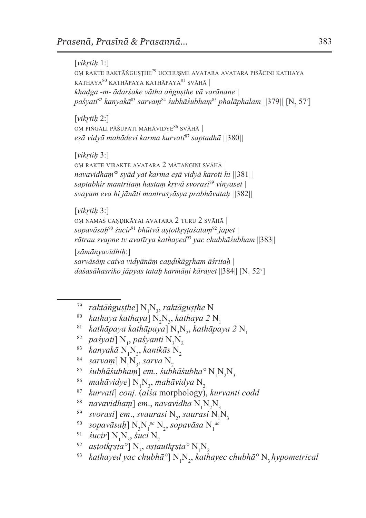[*vikr̥tiḥ* 1:] OM RAKTE RAKTĀŇGUSTHE<sup>79</sup> UCCHUSME AVATARA AVATARA PIŚĀCINI KATHAYA kathaya<sup>80</sup> kathāpaya kathāpaya<sup>81</sup> svāh<sup>ā</sup> *| khaḍga -m- ādarśake vātha aṅguṣṭhe vā varānane | paśyati*<sup>82</sup> *kanyakā*<sup>83</sup> *sarvaṃ*<sup>84</sup> *śubhāśubhaṃ*<sup>85</sup> *phalāphalam ||*379*||* [N2 57<sup>r</sup> ]

[*vikr̥tiḥ* 2:] oṃ piṅgali pāśupati mahāvidye<sup>86</sup> svāh<sup>ā</sup> *| eṣā vidyā mahādevi karma kurvati*<sup>87</sup> *saptadhā ||*380*||*

[*vikr̥tiḥ* 3:]

oṃ rakte virakte avatara 2 mātaṅgini svāh<sup>ā</sup> *| navavidhaṃ*<sup>88</sup> *syād yat karma eṣā vidyā karoti hi ||*381*|| saptabhir mantritaṃ hastaṃ kr̥tvā svorasi*<sup>89</sup> *vinyaset | svayam eva hi jānāti mantrasyāsya prabhāvataḥ ||*382*||*

[*vikr̥tiḥ* 3:]

oṃ namaś caṇḍikāyai avatara 2 turu 2 svāh<sup>ā</sup> *| sopavāsaḥ*<sup>90</sup> *śucir*<sup>91</sup> *bhūtvā aṣṭotkr̥ṣṭaśataṃ*<sup>92</sup> *japet | rātrau svapne tv avatīrya kathayed*<sup>93</sup> *yac chubhāśubham* ||383||

[*sāmānyavidhiḥ*:] *sarvāsāṃ caiva vidyānāṃ caṇḍikāgr̥ham āśritaḥ |*  daśasāhasriko jāpyas tataḥ karmāṇi kārayet ||384|| [N<sub>1</sub> 52<sup>v</sup>]

- <sup>79</sup> *raktāṅguṣṭhe*] N<sub>1</sub>N<sub>3</sub>, raktāguṣṭhe N
- $\frac{80}{10}$  *kathaya* kathaya]  $\text{N}_{2}\text{N}_{3}$
- <sup>80</sup> kathaya kathaya] N<sub>2</sub>N<sub>3</sub>, kathaya 2 N<sub>1</sub><br><sup>81</sup> kathāpaya kathāpaya] N<sub>3</sub>N<sub>2</sub>, kathāpaya 2 N<sub>1</sub><br>22 paśyati] N<sub>1</sub>, paśyanti N<sub>3</sub>N<sub>2</sub>
- <sup>82</sup> paśyati] N<sub>1</sub>, paśyanti N<sub>2</sub>N<sub>2</sub>
- <sup>82</sup> paśyati] N<sub>1</sub>, paśyanti N<sub>3</sub>N<sub>2</sub><br>83 kanyakā N<sub>1</sub>N<sub>3</sub>, kanikās N<sub>2</sub>
- <sup>83</sup> kanyakā N<sub>1</sub>N<sub>3</sub>, kanikās N<sub>2</sub><br><sup>84</sup> sarvaṃ] N<sub>1</sub>N<sub>3</sub>, sarva N<sub>2</sub>
- <sup>84</sup> sarvaṃ] N<sub>1</sub>N<sub>3</sub>, sarva N<sub>2</sub><br><sup>85</sup> śubhāśubhaṃ] em., śubhāśubha<sup>0</sup> N<sub>1</sub>N<sub>2</sub>N<sub>3</sub><br><sup>86</sup> mahāvidye] N<sub>1</sub>N<sub>3</sub>, mahāvidya N<sub>2</sub>
- mahāvidye]  $N_1N_2$ , mahāvidya  $N_2$
- , *mahāvidya* N2 <sup>87</sup> *kurvati*] *conj.* (*aiśa* morphology), *kurvanti codd*
- <sup>88</sup> navavidham] em., navavidha N<sub>1</sub>N<sub>2</sub>
- <sup>88</sup> navavidham] em., navavidha N<sub>1</sub>N<sub>2</sub>N<sub>3</sub><br><sup>89</sup> svorasi] em., svaurasi N<sub>2</sub>, saurasi N<sub>1</sub>
- <sup>89</sup> svorasi] em., svaurasi N<sub>2</sub>, saurasi N<sub>1</sub>N<sub>3</sub><br><sup>90</sup> sopavāsaḥ] N<sub>3</sub>N<sub>1</sub><sup>pc</sup> N<sub>2</sub>, sopavāsa N<sub>1</sub><sup>ac</sup>
- <sup>91</sup> *śucir*]  $N_1N_3$
- <sup>91</sup> *śucir*] N<sub>1</sub>N<sub>3</sub>, śuci N<sub>2</sub><br><sup>92</sup> astotkrṣṭa°] N<sub>3</sub>, asṭautkṛṣṭa° N<sub>1</sub>
- <sup>92</sup> aṣṭotkṛṣṭa°] N<sub>3</sub>, aṣṭautkṛṣṭa° N<sub>1</sub>N<sub>2</sub><br><sup>93</sup> kathayed yac chubhā°] N<sub>1</sub>N<sub>2</sub>, kathayec chubhā° N<sub>3</sub> hypometrical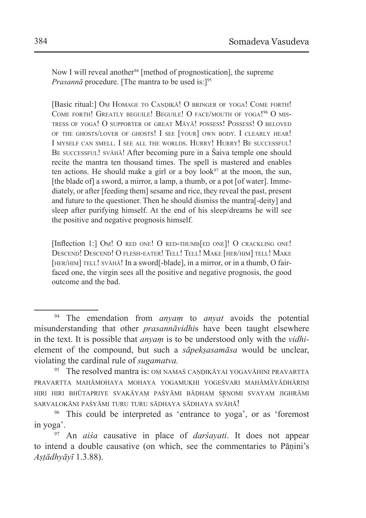Now I will reveal another<sup>94</sup> [method of prognostication], the supreme *Prasannā* procedure. [The mantra to be used is:<sup>195</sup>]

[Basic ritual:] Om HOMAGE TO CANDIKA! O BRINGER OF YOGA! COME FORTH! COME FORTH! GREATLY BEGUILE! BEGUILE! O FACE/MOUTH OF YOGA!<sup>96</sup> O MIStress of yoga! O supporter of great Māyā! possess! Possess! O beloved of the ghosts/lover of ghosts! I see [your] own body. I clearly hear! I myself can smell. I see all the worlds. Hurry! Hurry! Be successful! BE SUCCESSFUL! SVĀHĀ! After becoming pure in a Śaiva temple one should recite the mantra ten thousand times. The spell is mastered and enables ten actions. He should make a girl or a boy look $97$  at the moon, the sun, [the blade of] a sword, a mirror, a lamp, a thumb, or a pot [of water]. Immediately, or after [feeding them] sesame and rice, they reveal the past, present and future to the questioner. Then he should dismiss the mantra[-deity] and sleep after purifying himself. At the end of his sleep/dreams he will see the positive and negative prognosis himself.

[Inflection 1:] Om! O RED ONE! O RED-THUMB [ED ONE]! O CRACKLING ONE! DESCEND! DESCEND! O FLESH-EATER! TELL! TELL! MAKE [HER/HIM] TELL! MAKE [HER/HIM] TELL! SVĀHĀ! In a sword[-blade], in a mirror, or in a thumb, O fairfaced one, the virgin sees all the positive and negative prognosis, the good outcome and the bad.

<sup>94</sup> The emendation from *anyaṃ* to *anyat* avoids the potential misunderstanding that other *prasannāvidhi*s have been taught elsewhere in the text. It is possible that *anyaṃ* is to be understood only with the *vidhi*element of the compound, but such a *sāpekṣasamāsa* would be unclear, violating the cardinal rule of *sugamatva.*

<sup>95</sup> The resolved mantra is: OM NAMAŚ CANDIKĀYAI YOGAVĀHINI PRAVARTTA pravartta mahāmohaya mohaya yogamukhi yogeśvari mahāmāyādhāriṇi hiri hiri bhūtapriye svakāyaṃ paśyāmi bāḍha<sup>ṃ</sup> <sup>ś</sup>r̥ ṇomi svayaṃ jighrāmi sarvalokāni paśyāmi turu turu sādhaya sādhaya svāhā!

<sup>96</sup> This could be interpreted as 'entrance to yoga', or as 'foremost in yoga'.

<sup>97</sup> An *aiśa* causative in place of *darśayati*. It does not appear to intend a double causative (on which, see the commentaries to Pāṇini's *Aṣṭādhyāyī* 1.3.88).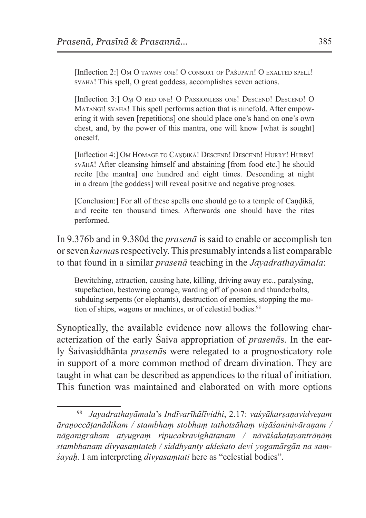[Inflection 2:] Om O TAWNY ONE! O CONSORT OF PAŚUPATI! O EXALTED SPELL! svāhā! This spell, O great goddess, accomplishes seven actions.

[Inflection 3:] Om O RED ONE! O PASSIONLESS ONE! DESCEND! DESCEND! O Mātaṅgī! svāhā! This spell performs action that is ninefold. After empowering it with seven [repetitions] one should place one's hand on one's own chest, and, by the power of this mantra, one will know [what is sought] oneself.

[Inflection 4:] Om HOMAGE TO CANDIKA! DESCEND! DESCEND! HURRY! HURRY! svāhā! After cleansing himself and abstaining [from food etc.] he should recite [the mantra] one hundred and eight times. Descending at night in a dream [the goddess] will reveal positive and negative prognoses.

[Conclusion:] For all of these spells one should go to a temple of Candika, and recite ten thousand times. Afterwards one should have the rites performed.

In 9.376b and in 9.380d the *prasenā* is said to enable or accomplish ten or seven *karma*s respectively. This presumably intends a list comparable to that found in a similar *prasenā* teaching in the *Jayadrathayāmala*:

Bewitching, attraction, causing hate, killing, driving away etc., paralysing, stupefaction, bestowing courage, warding off of poison and thunderbolts, subduing serpents (or elephants), destruction of enemies, stopping the motion of ships, wagons or machines, or of celestial bodies.<sup>98</sup>

Synoptically, the available evidence now allows the following characterization of the early Śaiva appropriation of *prasenā*s. In the early Śaivasiddhānta *prasenā*s were relegated to a prognosticatory role in support of a more common method of dream divination. They are taught in what can be described as appendices to the ritual of initiation. This function was maintained and elaborated on with more options

<sup>98</sup> *Jayadrathayāmala*'s *Indīvarīkālīvidhi*, 2.17: *vaśyākarṣaṇavidveṣam āraṇoccāṭanādikam / stambhaṃ stobhaṃ tathotsāhaṃ viṣāśaninivāraṇam / nāganigraham atyugraṃ ripucakravighātanam / nāvāśakaṭayantrāṇāṃ stambhanaṃ divyasaṃtateḥ / siddhyanty akleśato devi yogamārgān na saṃśayaḥ.* I am interpreting *divyasaṃtati* here as "celestial bodies".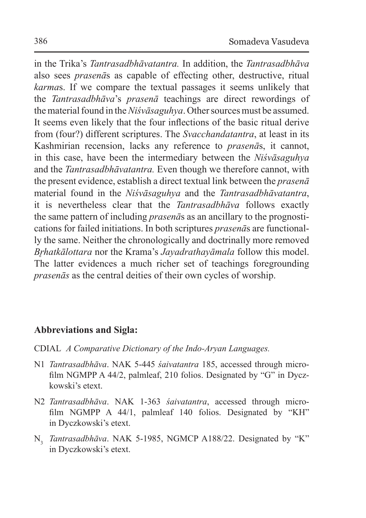in the Trika's *Tantrasadbhāvatantra.* In addition, the *Tantrasadbhāva*  also sees *prasenā*s as capable of effecting other, destructive, ritual *karma*s. If we compare the textual passages it seems unlikely that the *Tantrasadbhāva*'s *prasenā* teachings are direct rewordings of thematerial found in the*Niśvāsaguhya*. Other sources must be assumed. It seems even likely that the four inflections of the basic ritual derive from (four?) different scriptures. The *Svacchandatantra*, at least in its Kashmirian recension, lacks any reference to *prasenā*s, it cannot, in this case, have been the intermediary between the *Niśvāsaguhya*  and the *Tantrasadbhāvatantra.* Even though we therefore cannot, with the present evidence, establish a direct textual link between the *prasenā* material found in the *Niśvāsaguhya* and the *Tantrasadbhāvatantra*, it is nevertheless clear that the *Tantrasadbhāva* follows exactly the same pattern of including *prasenā*s as an ancillary to the prognostications for failed initiations. In both scriptures *prasenā*s are functionally the same. Neither the chronologically and doctrinally more removed *Br̥hatkālottara* nor the Krama's *Jayadrathayāmala* follow this model. The latter evidences a much richer set of teachings foregrounding *prasenās* as the central deities of their own cycles of worship.

## **Abbreviations and Sigla:**

- CDIAL *A Comparative Dictionary of the Indo-Aryan Languages.*
- N1 *Tantrasadbhāva*. NAK 5-445 *śaivatantra* 185, accessed through microfilm NGMPP A 44/2, palmleaf, 210 folios. Designated by "G" in Dyczkowski's etext.
- N2 *Tantrasadbhāva*. NAK 1-363 *śaivatantra*, accessed through microfilm NGMPP A 44/1, palmleaf 140 folios. Designated by "KH" in Dyczkowski's etext.
- N3 *Tantrasadbhāva*. NAK 5-1985, NGMCP A188/22. Designated by "K" in Dyczkowski's etext.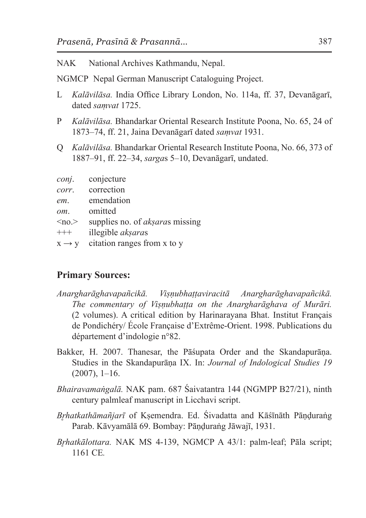NAK National Archives Kathmandu, Nepal.

NGMCP Nepal German Manuscript Cataloguing Project.

- L *Kalāvilāsa.* India Office Library London, No. 114a, ff. 37, Devanāgarī, dated *saṃvat* 1725.
- P *Kalāvilāsa.* Bhandarkar Oriental Research Institute Poona, No. 65, 24 of 1873–74, ff. 21, Jaina Devanāgarī dated *saṃvat* 1931.
- Q *Kalāvilāsa.* Bhandarkar Oriental Research Institute Poona, No. 66, 373 of 1887–91, ff. 22–34, *sarga*s 5–10, Devanāgarī, undated.

| conj.             | conjecture                             |
|-------------------|----------------------------------------|
| corr.             | correction                             |
| em.               | emendation                             |
| om.               | omitted                                |
| $\leq$ no. $>$    | supplies no. of <i>aksaras</i> missing |
| $^{+++}$          | illegible <i>akşaras</i>               |
| $X \rightarrow V$ | citation ranges from x to y            |
|                   |                                        |

### **Primary Sources:**

- *Anargharāghavapañcikā. Viṣṇubhaṭṭaviracitā Anargharāghavapañcikā. The commentary of Viṣṇubhaṭṭa on the Anargharāghava of Murāri.* (2 volumes). A critical edition by Harinarayana Bhat. Institut Français de Pondichéry/ École Française d'Extrême-Orient. 1998. Publications du département d'indologie n°82.
- Bakker, H. 2007. Thanesar, the Pāśupata Order and the Skandapurāṇa. Studies in the Skandapurāṇa IX. In: *Journal of Indological Studies 19*  $(2007), 1-16.$
- *Bhairavamaṅgalā.* NAK pam. 687 Śaivatantra 144 (NGMPP B27/21), ninth century palmleaf manuscript in Licchavi script.
- *Br̥hatkathāmañjarī* of Kṣemendra. Ed. Śivadatta and Kāśīnāth Pāṇḍuraṅg Parab. Kāvyamālā 69. Bombay: Pāṇḍuraṅg Jāwajī, 1931.
- *Brhatkālottara.* NAK MS 4-139, NGMCP A 43/1: palm-leaf; Pāla script; 1161 CE*.*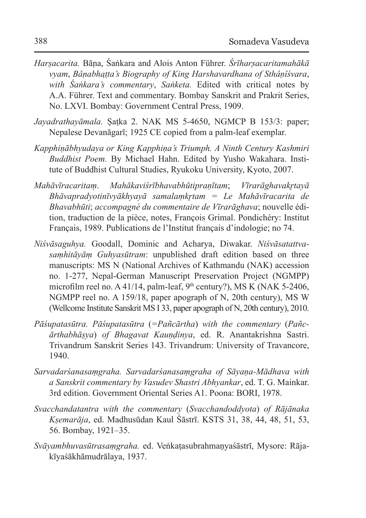- *Harṣacarita.* Bāṇa, Śaṅkara and Alois Anton Führer. *Śrīharṣacaritamahākā vyam*, *Bâṇabhaṭṭa's Biography of King Harshavardhana of Sthâṇîśvara*, *with Śaṅkara's commentary*, *Saṅketa.* Edited with critical notes by A.A. Führer. Text and commentary. Bombay Sanskrit and Prakrit Series, No. LXVI. Bombay: Government Central Press, 1909.
- *Jayadrathayāmala.* Ṣaṭka 2. NAK MS 5-4650, NGMCP B 153/3: paper; Nepalese Devanāgarī; 1925 CE copied from a palm-leaf exemplar.
- *Kapphiṇābhyudaya or King Kapphiṇa's Triumph. A Ninth Century Kashmiri Buddhist Poem.* By Michael Hahn. Edited by Yusho Wakahara. Institute of Buddhist Cultural Studies, Ryukoku University, Kyoto, 2007.
- *Mahāvīracaritam*̣. *Mahākaviśrībhavabhūtipraṇītam*; *Vīrarāghavakr̥tayā Bhāvapradyotinīvyākhyayā samalaṃkr̥tam = Le Mahāvīracarita de Bhavabhūti*; *accompagné du commentaire de Vīrarāghava*; nouvelle édition, traduction de la pièce, notes, François Grimal. Pondichéry: Institut Français, 1989. Publications de l'Institut français d'indologie; no 74.
- *Niśvāsaguhya.* Goodall, Dominic and Acharya, Diwakar. *Niśvāsatattvasaṃhitāyāṃ Guhyasūtram*: unpublished draft edition based on three manuscripts: MS N (National Archives of Kathmandu (NAK) accession no. 1-277, Nepal-German Manuscript Preservation Project (NGMPP) microfilm reel no. A 41/14, palm-leaf,  $9<sup>th</sup>$  century?), MS K (NAK 5-2406, NGMPP reel no. A 159/18, paper apograph of N, 20th century), MS W (Wellcome Institute Sanskrit MS I 33, paper apograph of N, 20th century), 2010.
- *Pāśupatasūtra. Pāśupatasūtra* (*=Pañcārtha*) *with the commentary* (*Pañcārthabhāṣya*) *of Bhagavat Kauṇḍinya*, ed. R. Anantakrishna Sastri. Trivandrum Sanskrit Series 143. Trivandrum: University of Travancore, 1940.
- *Sarvadarśanasaṃgraha. Sarvadarśanasaṃgraha of Sāyaṇa-Mādhava with a Sanskrit commentary by Vasudev Shastri Abhyankar*, ed. T. G. Mainkar. 3rd edition. Government Oriental Series A1. Poona: BORI, 1978.
- *Svacchandatantra with the commentary* (*Svacchandoddyota*) *of Rājānaka Kṣemarāja*, ed. Madhusūdan Kaul Śāstrī. KSTS 31, 38, 44, 48, 51, 53, 56. Bombay, 1921–35.
- *Svāyambhuvasūtrasaṃgraha.* ed. Veṅkaṭasubrahmaṇyaśāstrī, Mysore: Rājakīyaśākhāmudrālaya, 1937.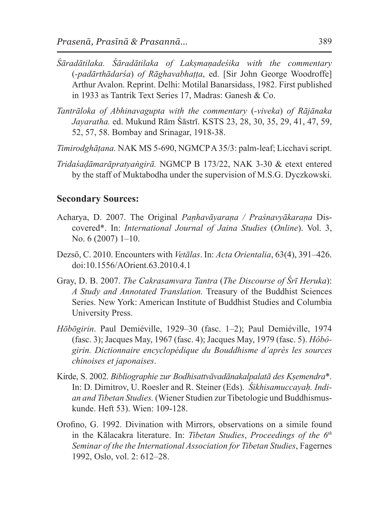- *Śāradātilaka. Śāradātilaka of Lakṣmaṇadeśika with the commentary*  (*-padārthādarśa*) *of Rāghavabhaṭṭa*, ed. [Sir John George Woodroffe] Arthur Avalon. Reprint. Delhi: Motilal Banarsidass, 1982. First published in 1933 as Tantrik Text Series 17, Madras: Ganesh & Co.
- *Tantrāloka of Abhinavagupta with the commentary* (*-viveka*) *of Rājānaka Jayaratha.* ed. Mukund Rām Śāstrī. KSTS 23, 28, 30, 35, 29, 41, 47, 59, 52, 57, 58. Bombay and Srinagar, 1918-38.
- *Timirodghāṭana.* NAK MS 5-690, NGMCP A35/3: palm-leaf; Licchavi script.
- *Tridaśaḍāmarāpratyaṅgirā.* NGMCP B 173/22, NAK 3-30 & etext entered by the staff of Muktabodha under the supervision of M.S.G. Dyczkowski.

#### **Secondary Sources:**

- Acharya, D. 2007. The Original *Paṇhavāyaraṇa / Praśnavyākaraṇa* Discovered\*. In: *International Journal of Jaina Studies* (*Online*). Vol. 3, No. 6 (2007) 1–10.
- Dezső, C. 2010. Encounters with *Vetālas*. In: *Acta Orientalia*, 63(4), 391–426. doi:10.1556/AOrient.63.2010.4.1
- Gray, D. B. 2007. *The Cakrasamvara Tantra* (*The Discourse of Śrī Heruka*): *A Study and Annotated Translation.* Treasury of the Buddhist Sciences Series. New York: American Institute of Buddhist Studies and Columbia University Press.
- *Hōbōgirin*. Paul Demiéville, 1929–30 (fasc. 1–2); Paul Demiéville, 1974 (fasc. 3); Jacques May, 1967 (fasc. 4); Jacques May, 1979 (fasc. 5). *Hôbôgirin. Dictionnaire encyclopédique du Bouddhisme d'après les sources chinoises et japonaises*.
- Kirde, S. 2002. *Bibliographie zur Bodhisattvāvadānakalpalatā des Kṣemendra*\*. In: D. Dimitrov, U. Roesler and R. Steiner (Eds). *Śikhisamuccayaḥ. Indian and Tibetan Studies.* (Wiener Studien zur Tibetologie und Buddhismuskunde. Heft 53). Wien: 109-128.
- Orofino, G. 1992. Divination with Mirrors, observations on a simile found in the Kālacakra literature. In: *Tibetan Studies*, *Proceedings of the 6th Seminar of the the International Association for Tibetan Studies*, Fagernes 1992, Oslo, vol. 2: 612–28.